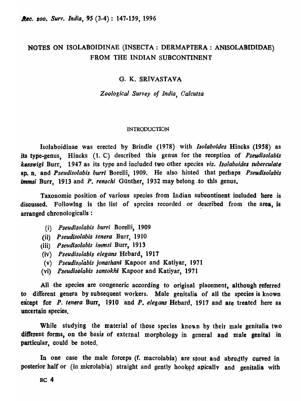# NOTBS ON ISOLABOIDINAE (INSECTA: DERMAPTERA: ANISOLABIDIDAB) FROM THE INDIAN SUBCONTINENT

## G. K. SRIVASTAVA

*Zoological Survey of India, Calcutta* 

#### INTRODUCTION

IsoJaboidinae was erected by Brindle (1978) with *lsolaboides* Hincks (1958) as its type-genus, Hincks (1. C) described this genus for. the reception of *Pseudisolabis k"sswigi* Burr, 1947 as its. type and included two other species *viz. Isolaboides tuberculate*  sp. n. and *Pseudisolabis burri* Borelli, 1909. He also hinted that perhaps *Pseudisolabis immsi* Burr, 1913 and *P. renschi* Günther, 1932 may belong to this genus.

Taxonomic position of various species from Indian subcontinent included here is discussed. Following is the list of species recorded or described from the area, is arranged chronologicalls :

- (i) Pseudisolabis burri Borelli, 1909
- (ii). *Pseudisolabis tenera* Burr, 1910
- (iii) *Pseudisolabis immsi* Burr, 1913
- (iv) *Pseudisolabis elegans* Hebard, 1911
- (v) *Pseudisolimis jonathanl* Kapoor and Katiyar, 1971
- (vi) *fseudisolabis santokhl* Kapoor and Katiyar, 1971

All the species are congeneric according to original placement, although referred to different genera by subsequent workers. Male genitalia of all the species is known except for *P. tenera* Burr, 1910 and *P. elegans* Hebard, 1917 and are treated here as uncertain species.

While studying the material of those species known by their male genitalia two different forms, on the basis of external morphology in general and male genital in particular, could be noted.

In one case the male forceps (f. macrolabia) are stout and abrudtly curved in posterior half or (in microlabia) straight and gently hooked apically and genitalia with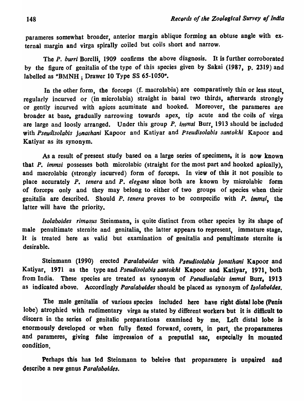parameres somewhat broader, anterior margin ablique forming an obtuse angle with external margin and virga spirally coiled but coils short and narrow.

The *P. burri* Borelli, 1909 confirms the above diagnosis. It is further corroborated by the figure of genitalia of the type of this species given by Sakai (1987, p. 2319) and labelled as "BMNH; Drawer 10 Type SS 65-1050".

In the other form, the forceps (f. macrolabia) are comparatively thin or less stout, regularly incurved or (in microlabia) straight in basal two thirds, afterwards strongly or- gently incurved with apices acuminate and booked. Moreover, the parameres are broader at base, gradually narrowing towards apex, tip acute and the coils of virga are large and loosly arranged. Under this group P. *immsi* Burr, 1913 should be included with *Pseudlsolabis jonathani* Kapoor and Katiyar and *pseudisolabis santokhi* Kapoor and Katiyar as its synonym.

As a result of present study based on a large series of specimens, it is now known that P. *immsi* possesses both microlabic (straight for the most part and hooked apically), and macrolabic (strongly incurved) form of forceps. In view of this it not possible to place accurately P. *tenera* and P. *eJegans* since both are known by microlabic form of forceps only and they may belong to either of two groups of species when their genitalia are described. Should *P. tenera* proves to be conspecific with *P. Immsi,* the latter will have the priority.

*Isolaboides rimosus* Steinmann, is quite distinct from other species by its shape of male penultimate sternite and genitalia, the latter appears to represent, immature stage, It is treated here as valid but examination of genitalia and penultimate sternite is desirable.

Steinmann (1990) erected *Paralaboides* with *Pseudisolabis jonathani* Kapoor and Katiyar, 1971 as the type and *Pseudisolabis santokhl* Kapoor and Katiyar, 1971, both from India. These species are treated as synonym of *Pseudisolabis immsi* Burr, 1913 as indicated above. Accordingly *Paralaboides* should be placed as synonym of *Isolaboides*.

The male genitalia of various species included here have right distal lobe (Penis lobe) atrophied with rudimentary virga as stated by different workers but it is difficult to discern in the series of genitalic preparations examined by me. Left distal lobe is enormously developed or when fully flexed forward, covers, in part, the proparameres and parameres, giving false impression of a preputial sac, especially in mounted condition.

Perhaps this has led Steinmann to beleive that proparamere is unpaired and describe a new genus *Paralaboides.*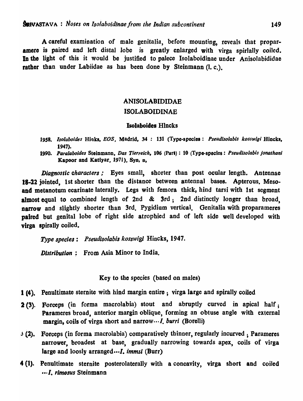A careful examination of male genitalia, before mounting, reveals that proparamere is paired and left distal lobe is greatly enlarged with virga spirlally coiled. In the light of this it would be justified to palece Isolaboidinae under Anisolabididae rather than under Labiidae as has been done by Steinmann (l.c.).

# ANISOLABIDIDAE ISOLABOIDINAE

#### Isolaboides Hlncks

- *1958. lsolaboides* Hioks, EOS, Madrid, 34 : 131 (Type-specios: *Pseudlsolabls kosswlgi* Hincks, 1947).
- *1990. Paralaboides* Steinmann. *Das Tierreich,* 106 (Part) : 10 (Type-species: *Pseudlsolabis jonalhani*  Kapoor and Katiyar, 1971), Syn, n,

*Diagnostic characters;* Eyes small, shorter than post ocular length. Antennae 18-22 jointed, 1st shorter than the distance between antennal bases. Apterous. Mesoand metanotum ecarinate laterally. Legs with femora thick, hind tarsi with 1st segment almost equal to combined length of 2nd & 3rd; 2nd distinctly longer than broad, narrow and slightly shorter than 3rd. Pygidium vertical. Genitalia with proparameres paired but genital lobe of right side atrophied and of left side well developed with virga spirally coiled.

*Type species: Pseudisolabis kosswigi* Hincks, 1947.

*Distribution*: From Asia Minor to India.

Key to the species (based on males)

- 1 (4). Penultimate sternite with hind margin entire; virga large and spirally coiled
- 2 (3). Forceps (in forma macrolabia) stout and abruptly curved in apical half; Parameres broad, anterior margin oblique, forming an obtuse angle with external margin, coils of virga short and narrow··· *I. burri* (Borelli)
- <sup>j</sup>.(2). Forceps (in forma macrolabia) comparatively thinner, regularly incurved ; Parameres narrower, broadest at base, gradually narrowing towards apex, coils of virga large and loosly arranged  $\cdots I$ , immsi (Burr)
- 4 (I). Penultimate sternite posterolaterally with a concavity, virga short and coiled .. ·1. *rimosus* Steinmann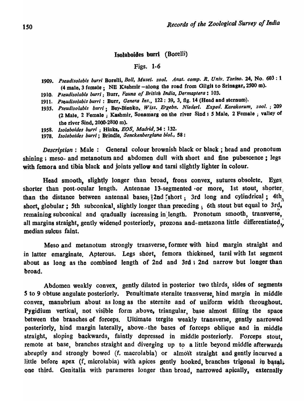### Isolaboides burri. (Borelli)

## Figs. 1·6

- *1909. Pseudisolabis burr;* Borolli, *Boll, Muse;. zool. Anal. comp. R. Univ. Torino.* 24, No. 603 : 1 (4 male, 3 female; NB Kashmir -along tho road from Gilgit to Srinagar,2500 m).
- 1910. *Pseudisolabis burri;* Burr, *Fauna 0/ British India, Dermaplera: 103.*
- 1911. *Pseudisolabis burri* : Burr, *Genera Ins .•* 122: 39, 3, fig. 14 (Head and sternum).
- 1935. Pseudisolabis burri; Bey-Blenko, Wiss. Ergebn. Niederl. Exped. Karakorum, zool. ; 209 (2 Male, 2 Female; Kashmir, Sonamarg on the river Sind : 5 Male, 2 Female; valley of the river Sind, 2000-2800 m).
- 1958. *lsolaboides burri* ; Hinks, *EOS, Madrid,34* : 132.
- 1978. *Isolaboides burri;* Brindle, *Senckenberglana bioi..* 58:

*Description:* Male: General colour brownish black or black; head and pronotum shining; meso- and metanotum and abdomen dull with short and fine pubescence; legs with femora and tibia black and joints yellow and tarsi slightly lighter in colour.

Head smooth, slightly longer than broad, frons convex, sutures obsolete. Eyes, shorter than post-ocular length. Antennae 13-segmented or more, 1st stout, shorter than the distance between antennal bases;  $\frac{3}{4}$ 2nd short; 3rd long and cylindrical; 4th, short, globular; 5th subconical, slightly longer than preceding; 6th stout but equal to  $3rd,$ remaining subconical and qradually increasing in length. Pronotum smooth, transverse, all margins straight, gently widened posteriorly, prozona and metazona little differentiated, median sulcus faint.

Meso and metanotum strongly transverse, former with hind margin straight and in latter emarginate. Apterous. Legs short, femora thickened, tarsi with 1st segment about as long as the combined length of 2nd and 3rd; 2nd narrow but longer than broad.

Abdomen weakly convex, gently dilated in posterior two thirds, sides of segments S to 9 obtuse angulate posteriorly. Penultimate sternite transverse, hind margin in middle convex, manubrium about as long as the sternite and of uniform width throughout. Pygidium vertical, not visible form above, triangular, base almost filling the space between the branches of forceps. Ultimate tergite weakly transverse, gently narrowed posteriorly, hind margin laterally, above the bases of forceps oblique and in middle straight, sloping backwards, faintly depressed in middle posteriorly. Forceps stout. remote at base, branches straight and diverging up to a little beyond middle afterwards abruptly and strongly bowed (f. macrolabia) or almost straight and gently incurved a little before apex (f. microlabia) with apices gently hooked, branches trigonal in basal. one third. Genitalia with parameres longer than broad, narrowed apically, externally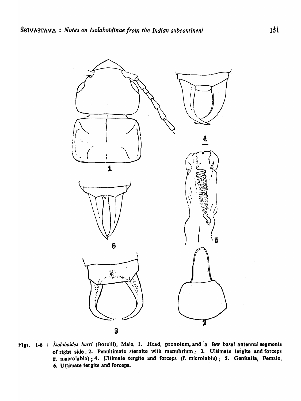

Figs. 1-6 : Isolaboides burri (Borelli), Male, 1. Head, pronotum, and a few basal antennal segments of right side; 2. Penultimate sternite with manubrium; 3. Ultimate tergite and forceps (f. macrolabia); 4. Ultimate tergite and forceps (f. microlabia); 5. Genitalia, Female, 6. Ultimate tergite and forceps.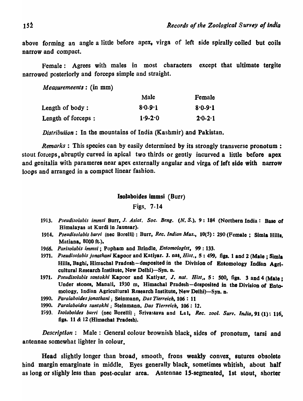above forming an angle a little before apex, virga of left side spirally coiled but coils narrow and compact.

Female: Agrees with males in most characters except that ultimate tergite narrowed posteriorly and forceps simple and straight.

*Measuremeents*: (in mm)

|                     | Male        | Female      |
|---------------------|-------------|-------------|
| Length of body :    | $8.0 - 9.1$ | $8.0 - 9.1$ |
| Length of forceps : | $1.9 - 2.0$ | $2.0 - 2.1$ |

*Distribution:* In the mountains of India (Kashmir) and Pakistan.

*Remarks:* This species can by easily determined by its strongly transverse pronotum : stout forceps, abruptly curved in apical two thirds or gently incurved a little before apex and genitalia with parameres near apex externally angular and virga of left side with narrow loops and arranged in a compact linear fashion.

#### Isolaboides immsi (Burr)

Figs. 7-14

- *1913. Pseudisolabis immsi* Burr, J. *Asiat. Soc. Beng. (N. S.),* 9: 184 (Northern India: Base <sup>01</sup> Himalayas at Kurdi In Jaunsar).
- 1914. Pseudisolabis burri (nec Borelli): Burr, *Rec. Indian Mus.*, 10(5): 290 (Female; Simla Hills. Matiana, 8000 ft.).
- *1966. Parls%bis immsi;* Popham and Brindle" *Entomologist,* 99: 133.
- *1971. Pseudisolabis jonathani* Kapoor and Katiyar. J. nat, *Hisl.,* 5 : 499, figs. 1 and 2 (Male; Simla Hills, Baghi, Himachal Pradesh-desposited in the Division of Entomology Indian Agricultural Research Institute, New Delhi)-Syn. n.
- 1971. Pseudisolabis santokhi Kapoor and Katiyar, J. nat. Hist,, 5: 500, figs. 3 and 4 (Male; Under stones, Manali, 1930 m, Himachal Pradesh-desposited in the Division of Entomology, Indian Agricultural Research Institute, New Delhi)-Syn. n.
- *1990.* Para/abold~s *jonathani;* Seinmann, *Dos Tierreich,* 106: 11
- *1990. Poralaboides santokhi* ; Steinmann, *Dos Tierreich,* 106: 12.
- *1993. Isolabo/des burr;* (nee Borelli); Srivastava and La I, *&c. zool. Surv. India,* 91 (1): 116, figs. 11 & 12 (Himachal Pradesh).

*Description:* Male: General colour brownish black, sides of pronotum, tarsi and antennae somewhat lighter in colour.

Head slightly longer than broad, smooth, frons weakly convex, sutures obsolete bind margin emarginate in middle. Eyes generally black, sometimes whitish, about half as long or slighly less than post-ocular area. Antennae IS-segmented, 1st stout, shorter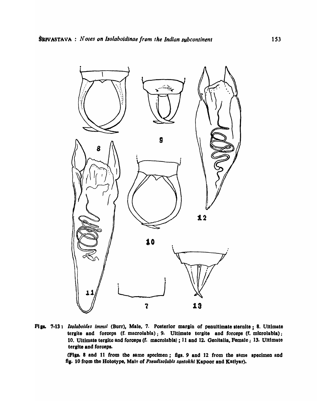

Figs. 7-13: Isolaboides immsi (Burr), Male, 7. Posterior margin of penultimate sternite; 8. Ultimate tergite and forceps (f. macrolabia); 9. Ultimate tergite and forceps (f. microlabia); 10. Ultimate tergite and forceps (f. macrolabia); 11 and 12. Genitalia, Female; 13. Ultimate tergite and forceps.

(Figs. 8 and 11 from the same specimen; figs. 9 and 12 from the same specimen and fig. 10 from the Holotype, Male of Pseudisolabis santokhi Kapoor and Katiyar).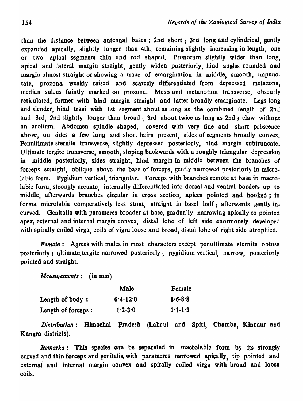than the distance between antennal bases; 2nd short; 3rd long and cylindrical, gently expanded apically, slightly longer than 4th, remaining slightly increasing in length, one or two apical segments thin and rod shaped. Pronotum slightly wider than long, apical and lateral margin straight, gently widen posteriorly, hind angles rounded and margin almost straight or showing a trace of emargination in middle, smooth, impunctate, prozona weakly raised and scarcely differentiated from depressed metazona, median sulcus faintly marked on prozona. Meso and metanotum transverse, obscurly reticulated, former with hind margin straight and latter broadly emarginate. Legs long and slender, hind trasi with 1st segment about as long as the combined length of 2nJ and 3rd, 2nd slightly longer than broad; 3rd about twice as long as 2nd; claw without an arolium. Abdomen spindle shaped, covered with very fine and short prbscence above, on sides a few long and short hairs present, sides of segments broadly convex. Penultimate sternite transverse, slightly depressed posteriorty, hind margin subtruncate. Ultimate tergite transverse, smooth, sloping backwards with a roughly triangular depression in middle posteriorly, sides straight, hind margin in middle between the branches of forceps straight, oblique above the base of forceps, gently narrowed posteriorly in microlabic form. Pygidium vertical, triangular. Forceps with branches remote at base in macrolabic form, strongly arcuate, internally differentiated into dorsal and ventral borders up to middle, afterwards branches circular in cross section, apices pointed and hooked ; in forma microlabia comperatively less stout, straight in basel half; afterwards gently incurved. Genitalia with para meres broader at base, gradually narrowing apically to pointed apex, external and internal margin convex, distal lobe of left side enormously developed with spirally coiled virga, coils of vigra loose and broad, distal lobe of right side atrophied.

*Female*: Agrees with males in most characters except penultimate sternite obtuse posteriorly; ultimate.tergite narrowed posteriorly; pygidium vertical, narrow, posteriorly pointed and straight.

 $Measurements:$  (in mm)

|                    | Male         | Female      |
|--------------------|--------------|-------------|
| Length of body:    | $6.4 - 12.0$ | $8.6 - 8.8$ |
| Length of forceps: | $1.2 - 3.0$  | $1.1 - 1.3$ |

*Distribution:* Himachal Pradesh (Lahaul ard Spiti, Chamba, Kinnaur and Kangra districts).

*Remarks*: This species can be separated in macrolabic form by its strongly curved and thin forceps and genitalia with parameres narrowed apically, tip pointed and external and internal margin convex and spirally coiled virga with broad and loose coils,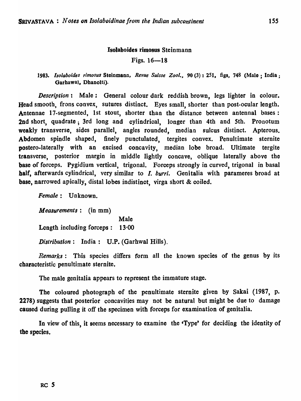### Isolaboides rimosus Steinmann

### Figs.  $16-18$

*1983. Isolaboides rimosus* Steinmann, *Revue Suisse Zoo/.,* 90 (3) I 251, figs, 748 (Malo; India; Garbawal, Dbanolti).

*Description*: Male: General colour dark reddish brown, legs lighter in colour. Head smooth, frons convex, sutures distinct. Eyes small, shorter than post-ocular length. Antennae 17-segmented, 1st stout, shorter than the distance between antennal bases: 2nd short, quadrate; 3rd long and cylindrical, longer than 4th and 5th. Pronotum weakly transverse, sides parallel, angles rounded, median sulcus distinct. Apterous. Abdomen spindle shaped, finely punctulated, tergites convex. Penultimate sternite postero-Iaterally with an excised concavity, median lobe broad. Ultimate tergite transverse, posterior margin in middle lightly concave, oblique laterally above the base of forceps. Pygidium vertical, trigonal. Forceps strongly in curved, trigonal in basal balf, afterwards cylindrical, very similar to 1. *hurri.* Genitalia with parameres broad at base, narrowed apically, distal lobes indistinct, virga short & coiled.

*Female:* Unknown.

*Aleasurements:* (in mm) Male Length including forceps: 13·00 *Distribution:* India: U.P. (Garhwal Hills).

*Remarks:* This species differs form all the known species of the genus by its characteristic penultimate sternite.

The male genitalia appears to represent the immature stage.

The coloured photograph of the penultimate sternite given by Sakai (1987, p. 2278) suggests that posterior concavities may not be natural but might be due to damage caused during pulling it off the specimen with forceps for examination of genitalia.

In view of this, it seems necessary to examine the 'Type' for deciding the identity of the species.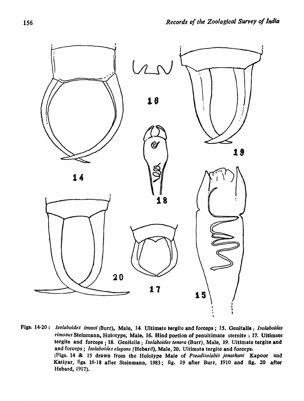

Figs. 14-20: *lsolaboides immsi* (Burr). Male. 14. Ultimate tergite and forceps; *IS.* Genitalia; *Isolaboides*  rimosus Steinmann, Holotype, Male, 16. Hind portion of penultimate sternite ; 17. Ultimate tergite and forceps : 18. Genitalie; *Isolaboides tenera* (Burr), Male, 19. Ultimate tergite and and forceps; *lsolaboides elegans* (Hebard), Male. 20. Ultimate tergite and forceps. (Figs. 14 & 15 drawn from the Ho}olype Male of *Pseudiso!abis jonathan;* Kapoor and Katiyar, figs. 16-18 after Steinmann, 1983; fig. 19 after Burr, 1910 and fig. 20 after Hebard, 1917).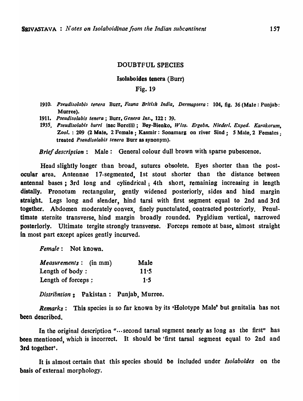#### DOUBTFUL SPECIES

#### Isolabo ides tenera (Burr)

### Fig. 19

- 1910. Pseudisolabis tenera Burr, *Fauna British India*, *Dermaptera*: 104, fig. 36 (Male: Punjab: Murree).
- *1911. Pseudisolabis tenera;* Burr, *Genera Ins.,* 122: 39.
- *1935. Pseudlsolabis burr;* (nec Borelli); Boy-Bionko, *Wiss. Ergebn. Nleder/. Exped. Karakorum,*  Zool. : 209 (2 Male, 2 Female: Kasmir: Sonamarg on river Sind: 5 Male, 2 Females: treated *Pseudi,solabis tenera* Burr as synonym).

*Brief description:* Male: General colour dull brown with sparse pubescence.

Head slightly longer than broad, sutures obsolete. Eyes shorter than the postocular area. Antennae 17-segmented, 1st stout shorter than the distance between antennal bases; 3rd long and cylindrical; 4th short, remaining increasing in length distally. Pronotum rectangular, gently widened posteriorly, sides and hind margin straight. Legs long and slender, hind tarsi with first segment equal to 2nd and 3rd together. Abdomen moderately convex, finely punctulated, contracted posteriorly. Penultimate sternite transverse, hind margin broadly rounded. Pygidium vertical, narrowed posteriorly. Ultimate tergite strongly transverse. Forceps remote at base, almost straight in most part except apices gently incurved.

*Female:* Not known\_

| <i>Measurements</i> : (in mm) | Male |
|-------------------------------|------|
| Length of body:               | 11:5 |
| Length of forceps :           | 1:5  |
|                               |      |

*Distribntion* g Pakistan: Punjab, Murree.

*Remarks:* This species is so far known by its 'Holotype Male' but genitalia has not been described.

In the original description "...second tarsal segment nearly as long as the first" has been mentioned, which is incorrect. It should be 'first tarsal segment equal to 2nd and 3rd together'.

It is almost certain that this species should be included under *lsolabo/des* on the basis of external morphology.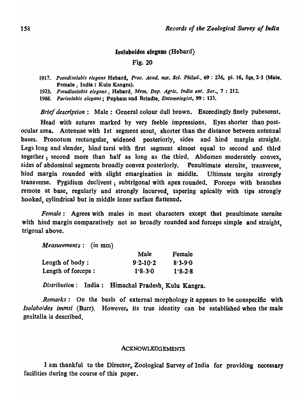## IsoJaboides elegans (Hebard)

## Fig. 20

- *1917. Pseudisolabis elegans* Hebard. *Proc. Acad. nat. Sci. Philad.,* 69 : 236. pl. 16, figs, 2-3 (Male, Female; India: Kulu Kangra).
- *1923. Pseudisolabis eiegans;* Hebard, *Mem. Dep. Agrie. India ent. Ser.,* 7 : 212.
- *1966. Parisolabis eiegans;* Popham and Brindle, *Entomologist,* 99: 133.

*Brief description:* Male: General colour dull brown. Exceedingly finely pubescent.

Head with sutures marked by very feeble impressions. Byes shorter than postocular area. Antennae with 1st segment stout, shorter than the distance between antennal bases. Pronotum rectangular, widened posteriorly, sides and hind margin straight. Legs long and slender, hind tarsi with first segment almost equal to second and third together; second more than half as long as the third. Abdomen moderately convex, sides of abdominal segments broadly convex posteriorly. Penultimate sternite, transverse, hind margin rounded with slight emargination in middle. Ultimate tergite strongly transverse. Pygidium declivent; subtrigonal with apex rounded. Forceps with branches remote at base, regularly and strongly Incurved, tapering apically with tips strongly hooked, cylindrical but in middle inner surface flattened.

*Female:* Agrees with males in most characters except that penultimate sternite with hind margin comparatively not so broadly rounded and forceps simple and straight. trigonal above.

*Measurements:* (in mm)

|                    | Male         | Female      |
|--------------------|--------------|-------------|
| Length of body:    | $9.2 - 10.2$ | $8.3 - 9.0$ |
| Length of forceps: | $1.8 - 3.0$  | $1.8 - 2.8$ |

*Distribution:* India: Himachal Pradesh, Kulu Kangra.

*Remarks:* On the basis of external morphology it appears to be conspecific with *Isolaboides immsi* (Burr). However, its true identity can be established when the male genitalia is described.

#### ACKNOWLEDGEMENTS

I am thankful to the Director, Zoological Survey of India for providing necessary facilities during the course of this paper.